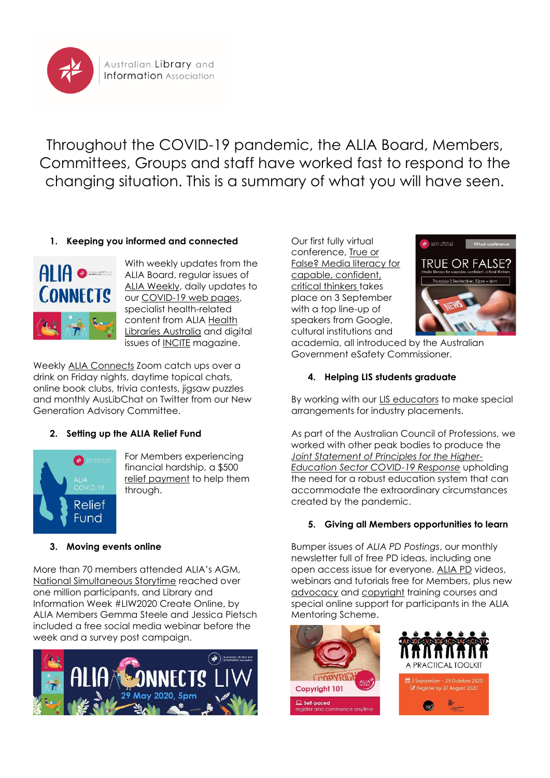

Throughout the COVID-19 pandemic, the ALIA Board, Members, Committees, Groups and staff have worked fast to respond to the changing situation. This is a summary of what you will have seen.

## **1. Keeping you informed and connected**



With weekly updates from the ALIA Board, regular issues of [ALIA Weekly,](https://www.alia.org.au/alia-weekly) daily updates to our [COVID-19 web pages,](https://www.alia.org.au/australian-libraries-responding-covid-19) specialist health-related content from ALIA [Health](https://www.alia.org.au/groups/HLA/covid-19-key-resources)  [Libraries Australia](https://www.alia.org.au/groups/HLA/covid-19-key-resources) and digital issues of [INCITE](https://www.alia.org.au/publications-and-news/incite) magazine.

Weekly [ALIA Connects](https://www.alia.org.au/our-communities/alia-connects) Zoom catch ups over a drink on Friday nights, daytime topical chats, online book clubs, trivia contests, jigsaw puzzles and monthly AusLibChat on Twitter from our New Generation Advisory Committee.

# **2. Setting up the ALIA Relief Fund**



For Members experiencing financial hardship, a \$500 [relief payment](http://www.alia.org.au/alia-covid-19-relief-fund) to help them through.

## **3. Moving events online**

More than 70 members attended ALIA's AGM, [National Simultaneous Storytime](https://www.alia.org.au/nss) reached over one million participants, and Library and Information Week #LIW2020 Create Online, by ALIA Members Gemma Steele and Jessica Pietsch included a free social media webinar before the week and a survey post campaign.



Our first fully virtual conference, [True or](https://www.alia.org.au/true-or-false-media-literacy-capable-confident-critical-thinkers)  [False? Media literacy for](https://www.alia.org.au/true-or-false-media-literacy-capable-confident-critical-thinkers)  [capable, confident,](https://www.alia.org.au/true-or-false-media-literacy-capable-confident-critical-thinkers)  critical [thinkers](https://www.alia.org.au/true-or-false-media-literacy-capable-confident-critical-thinkers) takes place on 3 September with a top line-up of speakers from Google, cultural institutions and



academia, all introduced by the Australian Government eSafety Commissioner.

## **4. Helping LIS students graduate**

By working with our [LIS educators](https://www.alia.org.au/lis-educators) to make special arrangements for industry placements.

As part of the Australian Council of Professions, we worked with other peak bodies to produce the *[Joint Statement of Principles for the Higher-](https://www.teqsa.gov.au/sites/default/files/joint-statement-principles-higher-education-sector-covid-19-response.pdf?v=1588910909)[Education Sector COVID-19 Response](https://www.teqsa.gov.au/sites/default/files/joint-statement-principles-higher-education-sector-covid-19-response.pdf?v=1588910909)* upholding the need for a robust education system that can accommodate the extraordinary circumstances created by the pandemic.

## **5. Giving all Members opportunities to learn**

Bumper issues of *ALIA PD Postings*, our monthly newsletter full of free PD ideas, including one open access issue for everyone. [ALIA PD](https://www.alia.org.au/pd) videos, webinars and tutorials free for Members, plus new [advocacy](https://membership.alia.org.au/events/event/advocacy-a-practical-toolkit) and [copyright](https://membership.alia.org.au/events/event/copyright-101) training courses and special online support for participants in the ALIA Mentoring Scheme.